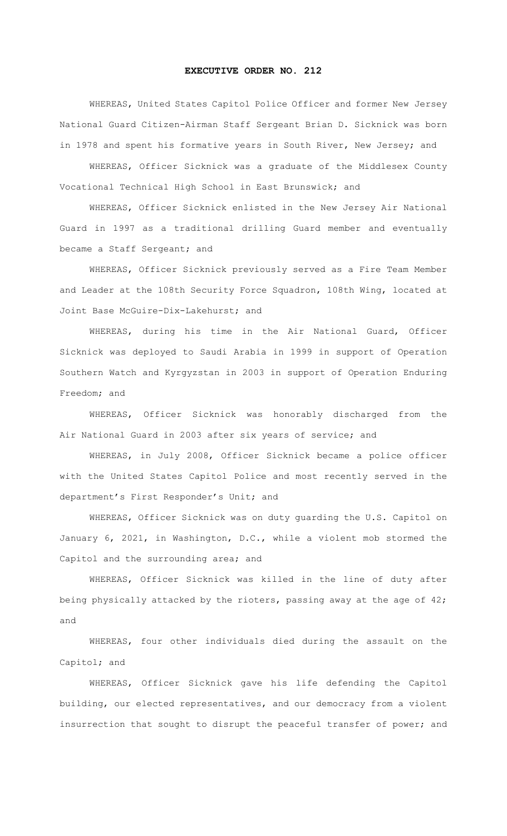## **EXECUTIVE ORDER NO. 212**

 WHEREAS, United States Capitol Police Officer and former New Jersey National Guard Citizen-Airman Staff Sergeant Brian D. Sicknick was born in 1978 and spent his formative years in South River, New Jersey; and

 WHEREAS, Officer Sicknick was a graduate of the Middlesex County Vocational Technical High School in East Brunswick; and

WHEREAS, Officer Sicknick enlisted in the New Jersey Air National Guard in 1997 as a traditional drilling Guard member and eventually became a Staff Sergeant; and

 WHEREAS, Officer Sicknick previously served as a Fire Team Member and Leader at the 108th Security Force Squadron, 108th Wing, located at Joint Base McGuire-Dix-Lakehurst; and

WHEREAS, during his time in the Air National Guard, Officer Sicknick was deployed to Saudi Arabia in 1999 in support of Operation Southern Watch and Kyrgyzstan in 2003 in support of Operation Enduring Freedom; and

WHEREAS, Officer Sicknick was honorably discharged from the Air National Guard in 2003 after six years of service; and

 WHEREAS, in July 2008, Officer Sicknick became a police officer with the United States Capitol Police and most recently served in the department's First Responder's Unit; and

WHEREAS, Officer Sicknick was on duty guarding the U.S. Capitol on January 6, 2021, in Washington, D.C., while a violent mob stormed the Capitol and the surrounding area; and

 WHEREAS, Officer Sicknick was killed in the line of duty after being physically attacked by the rioters, passing away at the age of 42; and

 WHEREAS, four other individuals died during the assault on the Capitol; and

 WHEREAS, Officer Sicknick gave his life defending the Capitol building, our elected representatives, and our democracy from a violent insurrection that sought to disrupt the peaceful transfer of power; and